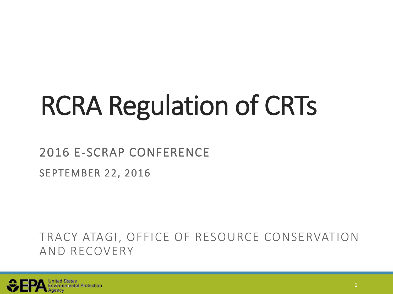# RCRA Regulation of CRTs

#### 2016 E-SCRAP CONFERENCE

SEPTEMBER 22, 2016

#### TRACY ATAGI, OFFICE OF RESOURCE CONSERVATION AND RECOVERY

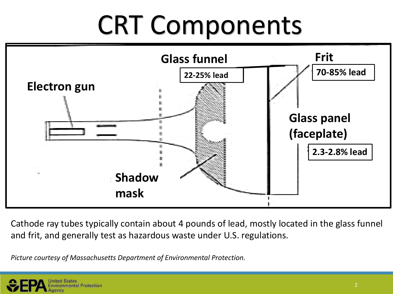# CRT Components



Cathode ray tubes typically contain about 4 pounds of lead, mostly located in the glass funnel and frit, and generally test as hazardous waste under U.S. regulations.

*Picture courtesy of Massachusetts Department of Environmental Protection.*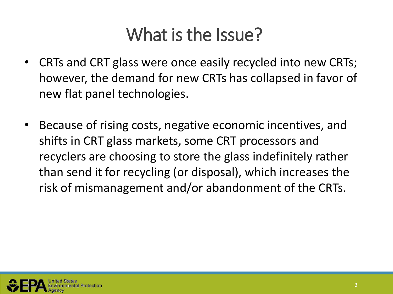## What is the Issue?

- CRTs and CRT glass were once easily recycled into new CRTs; however, the demand for new CRTs has collapsed in favor of new flat panel technologies.
- Because of rising costs, negative economic incentives, and shifts in CRT glass markets, some CRT processors and recyclers are choosing to store the glass indefinitely rather than send it for recycling (or disposal), which increases the risk of mismanagement and/or abandonment of the CRTs.

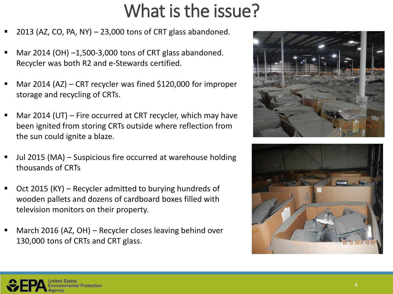## What is the issue?

- 2013 (AZ, CO, PA, NY) 23,000 tons of CRT glass abandoned.
- Mar 2014 (OH) –1,500-3,000 tons of CRT glass abandoned. Recycler was both R2 and e-Stewards certified.
- Mar 2014 (AZ) CRT recycler was fined \$120,000 for improper storage and recycling of CRTs.
- Mar 2014 (UT) Fire occurred at CRT recycler, which may have been ignited from storing CRTs outside where reflection from the sun could ignite a blaze.
- Jul 2015 (MA) Suspicious fire occurred at warehouse holding thousands of CRTs
- Oct 2015 (KY) Recycler admitted to burying hundreds of wooden pallets and dozens of cardboard boxes filled with television monitors on their property.
- March 2016 (AZ, OH) Recycler closes leaving behind over 130,000 tons of CRTs and CRT glass.





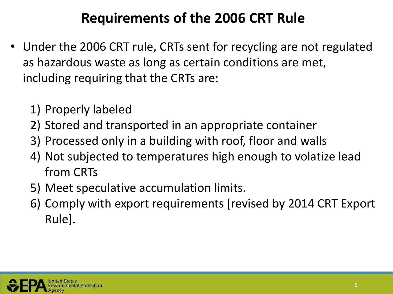### **Requirements of the 2006 CRT Rule**

- Under the 2006 CRT rule, CRTs sent for recycling are not regulated as hazardous waste as long as certain conditions are met, including requiring that the CRTs are:
	- 1) Properly labeled
	- 2) Stored and transported in an appropriate container
	- 3) Processed only in a building with roof, floor and walls
	- 4) Not subjected to temperatures high enough to volatize lead from CRTs
	- 5) Meet speculative accumulation limits.
	- 6) Comply with export requirements [revised by 2014 CRT Export Rule].

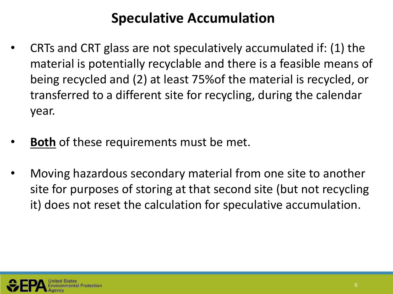#### **Speculative Accumulation**

- CRTs and CRT glass are not speculatively accumulated if: (1) the material is potentially recyclable and there is a feasible means of being recycled and (2) at least 75%of the material is recycled, or transferred to a different site for recycling, during the calendar year.
- **Both** of these requirements must be met.
- Moving hazardous secondary material from one site to another site for purposes of storing at that second site (but not recycling it) does not reset the calculation for speculative accumulation.

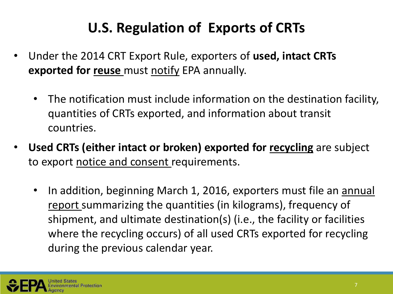## **U.S. Regulation of Exports of CRTs**

- Under the 2014 CRT Export Rule, exporters of **used, intact CRTs exported for reuse** must notify EPA annually.
	- The notification must include information on the destination facility, quantities of CRTs exported, and information about transit countries.
- **Used CRTs (either intact or broken) exported for recycling** are subject to export notice and consent requirements.
	- In addition, beginning March 1, 2016, exporters must file an annual report summarizing the quantities (in kilograms), frequency of shipment, and ultimate destination(s) (i.e., the facility or facilities where the recycling occurs) of all used CRTs exported for recycling during the previous calendar year.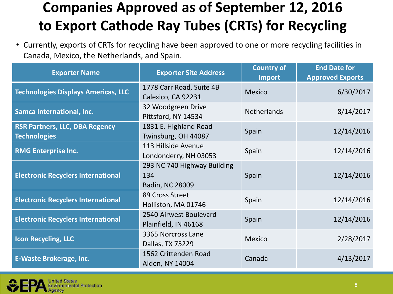## **Companies Approved as of September 12, 2016 to Export Cathode Ray Tubes (CRTs) for Recycling**

• Currently, exports of CRTs for recycling have been approved to one or more recycling facilities in Canada, Mexico, the Netherlands, and Spain.

| <b>Exporter Name</b>                                         | <b>Exporter Site Address</b>                          | <b>Country of</b><br><b>Import</b> | <b>End Date for</b><br><b>Approved Exports</b> |
|--------------------------------------------------------------|-------------------------------------------------------|------------------------------------|------------------------------------------------|
| <b>Technologies Displays Americas, LLC</b>                   | 1778 Carr Road, Suite 4B<br>Calexico, CA 92231        | Mexico                             | 6/30/2017                                      |
| <b>Samca International, Inc.</b>                             | 32 Woodgreen Drive<br>Pittsford, NY 14534             | <b>Netherlands</b>                 | 8/14/2017                                      |
| <b>RSR Partners, LLC, DBA Regency</b><br><b>Technologies</b> | 1831 E. Highland Road<br>Twinsburg, OH 44087          | Spain                              | 12/14/2016                                     |
| <b>RMG Enterprise Inc.</b>                                   | 113 Hillside Avenue<br>Londonderry, NH 03053          | Spain                              | 12/14/2016                                     |
| <b>Electronic Recyclers International</b>                    | 293 NC 740 Highway Building<br>134<br>Badin, NC 28009 | Spain                              | 12/14/2016                                     |
| <b>Electronic Recyclers International</b>                    | 89 Cross Street<br>Holliston, MA 01746                | Spain                              | 12/14/2016                                     |
| <b>Electronic Recyclers International</b>                    | 2540 Airwest Boulevard<br>Plainfield, IN 46168        | Spain                              | 12/14/2016                                     |
| <b>Icon Recycling, LLC</b>                                   | 3365 Norcross Lane<br>Dallas, TX 75229                | Mexico                             | 2/28/2017                                      |
| <b>E-Waste Brokerage, Inc.</b>                               | 1562 Crittenden Road<br>Alden, NY 14004               | Canada                             | 4/13/2017                                      |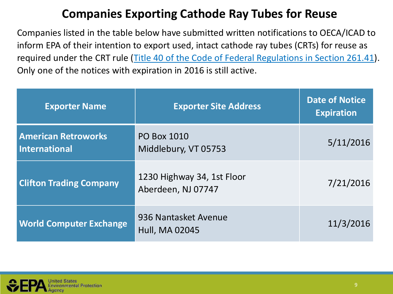#### **Companies Exporting Cathode Ray Tubes for Reuse**

Companies listed in the table below have submitted written notifications to OECA/ICAD to inform EPA of their intention to export used, intact cathode ray tubes (CRTs) for reuse as required under the CRT rule (Title 40 of the Code of Federal Regulations in Section 261.41). Only one of the notices with expiration in 2016 is still active.

| <b>Exporter Name</b>                        | <b>Exporter Site Address</b>                     | <b>Date of Notice</b><br><b>Expiration</b> |
|---------------------------------------------|--------------------------------------------------|--------------------------------------------|
| <b>American Retroworks</b><br>International | <b>PO Box 1010</b><br>Middlebury, VT 05753       | 5/11/2016                                  |
| <b>Clifton Trading Company</b>              | 1230 Highway 34, 1st Floor<br>Aberdeen, NJ 07747 | 7/21/2016                                  |
| <b>World Computer Exchange</b>              | 936 Nantasket Avenue<br><b>Hull, MA 02045</b>    | 11/3/2016                                  |

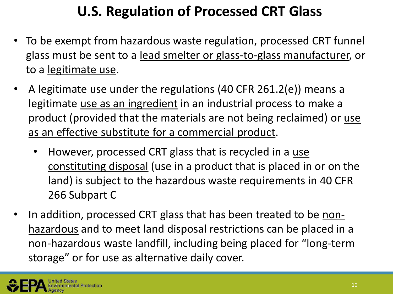## **U.S. Regulation of Processed CRT Glass**

- To be exempt from hazardous waste regulation, processed CRT funnel glass must be sent to a lead smelter or glass-to-glass manufacturer, or to a legitimate use.
- A legitimate use under the regulations (40 CFR 261.2(e)) means a legitimate use as an ingredient in an industrial process to make a product (provided that the materials are not being reclaimed) or use as an effective substitute for a commercial product.
	- However, processed CRT glass that is recycled in a use constituting disposal (use in a product that is placed in or on the land) is subject to the hazardous waste requirements in 40 CFR 266 Subpart C
- In addition, processed CRT glass that has been treated to be nonhazardous and to meet land disposal restrictions can be placed in a non-hazardous waste landfill, including being placed for "long-term storage" or for use as alternative daily cover.

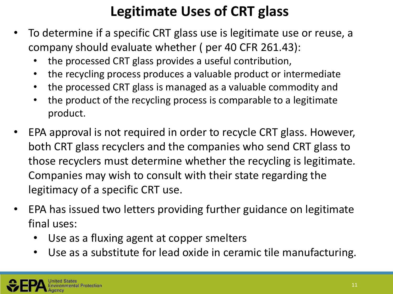## **Legitimate Uses of CRT glass**

- To determine if a specific CRT glass use is legitimate use or reuse, a company should evaluate whether ( per 40 CFR 261.43):
	- the processed CRT glass provides a useful contribution,
	- the recycling process produces a valuable product or intermediate
	- the processed CRT glass is managed as a valuable commodity and
	- the product of the recycling process is comparable to a legitimate product.
- EPA approval is not required in order to recycle CRT glass. However, both CRT glass recyclers and the companies who send CRT glass to those recyclers must determine whether the recycling is legitimate. Companies may wish to consult with their state regarding the legitimacy of a specific CRT use.
- EPA has issued two letters providing further guidance on legitimate final uses:
	- Use as a fluxing agent at copper smelters
	- Use as a substitute for lead oxide in ceramic tile manufacturing.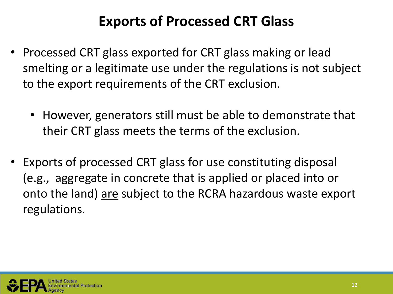### **Exports of Processed CRT Glass**

- Processed CRT glass exported for CRT glass making or lead smelting or a legitimate use under the regulations is not subject to the export requirements of the CRT exclusion.
	- However, generators still must be able to demonstrate that their CRT glass meets the terms of the exclusion.
- Exports of processed CRT glass for use constituting disposal (e.g., aggregate in concrete that is applied or placed into or onto the land) are subject to the RCRA hazardous waste export regulations.